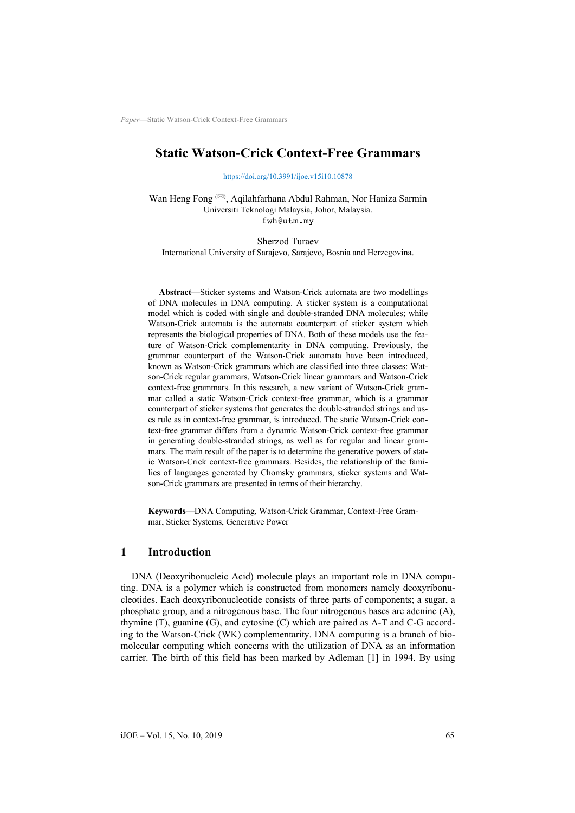# **Static Watson-Crick Context-Free Grammars**

https://doi.org/10.3991/ijoe.v15i10.10878

Wan Heng Fong <sup>(X)</sup>[, Aqilahfarhana Abdul R](https://doi.org/10.3991/ijoe.v15i10.10878)ahman, Nor Haniza Sarmin Universiti Teknologi Malaysia, Johor, Malaysia. fwh@utm.my

Sherzod Turaev International University of Sarajevo, Sarajevo, Bosnia and Herzegovina.

**Abstract**—Sticker systems and Watson-Crick automata are two modellings of DNA molecules in DNA computing. A sticker system is a computational model which is coded with single and double-stranded DNA molecules; while Watson-Crick automata is the automata counterpart of sticker system which represents the biological properties of DNA. Both of these models use the feature of Watson-Crick complementarity in DNA computing. Previously, the grammar counterpart of the Watson-Crick automata have been introduced, known as Watson-Crick grammars which are classified into three classes: Watson-Crick regular grammars, Watson-Crick linear grammars and Watson-Crick context-free grammars. In this research, a new variant of Watson-Crick grammar called a static Watson-Crick context-free grammar, which is a grammar counterpart of sticker systems that generates the double-stranded strings and uses rule as in context-free grammar, is introduced. The static Watson-Crick context-free grammar differs from a dynamic Watson-Crick context-free grammar in generating double-stranded strings, as well as for regular and linear grammars. The main result of the paper is to determine the generative powers of static Watson-Crick context-free grammars. Besides, the relationship of the families of languages generated by Chomsky grammars, sticker systems and Watson-Crick grammars are presented in terms of their hierarchy.

**Keywords—**DNA Computing, Watson-Crick Grammar, Context-Free Grammar, Sticker Systems, Generative Power

## **1 Introduction**

DNA (Deoxyribonucleic Acid) molecule plays an important role in DNA computing. DNA is a polymer which is constructed from monomers namely deoxyribonucleotides. Each deoxyribonucleotide consists of three parts of components; a sugar, a phosphate group, and a nitrogenous base. The four nitrogenous bases are adenine (A), thymine (T), guanine (G), and cytosine (C) which are paired as A-T and C-G according to the Watson-Crick (WK) complementarity. DNA computing is a branch of biomolecular computing which concerns with the utilization of DNA as an information carrier. The birth of this field has been marked by Adleman [1] in 1994. By using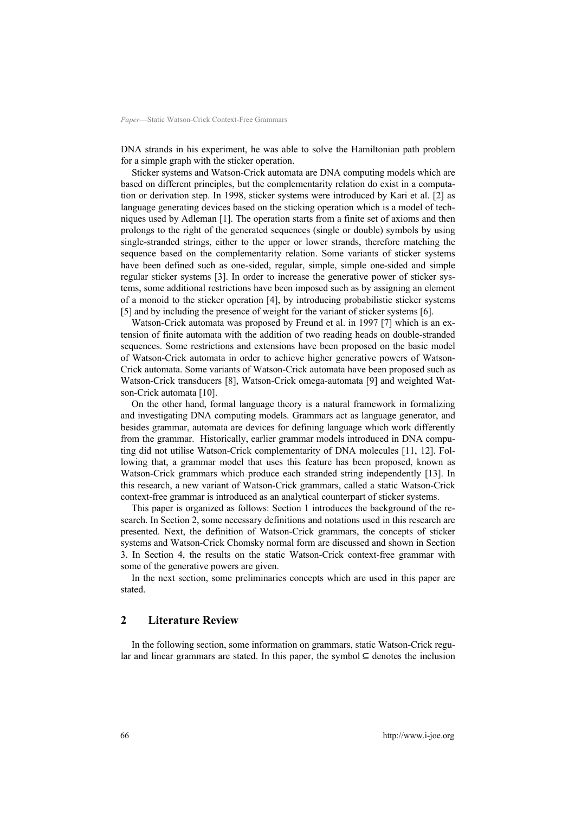DNA strands in his experiment, he was able to solve the Hamiltonian path problem for a simple graph with the sticker operation.

Sticker systems and Watson-Crick automata are DNA computing models which are based on different principles, but the complementarity relation do exist in a computation or derivation step. In 1998, sticker systems were introduced by Kari et al. [2] as language generating devices based on the sticking operation which is a model of techniques used by Adleman [1]. The operation starts from a finite set of axioms and then prolongs to the right of the generated sequences (single or double) symbols by using single-stranded strings, either to the upper or lower strands, therefore matching the sequence based on the complementarity relation. Some variants of sticker systems have been defined such as one-sided, regular, simple, simple one-sided and simple regular sticker systems [3]. In order to increase the generative power of sticker systems, some additional restrictions have been imposed such as by assigning an element of a monoid to the sticker operation [4], by introducing probabilistic sticker systems [5] and by including the presence of weight for the variant of sticker systems [6].

Watson-Crick automata was proposed by Freund et al. in 1997 [7] which is an extension of finite automata with the addition of two reading heads on double-stranded sequences. Some restrictions and extensions have been proposed on the basic model of Watson-Crick automata in order to achieve higher generative powers of Watson-Crick automata. Some variants of Watson-Crick automata have been proposed such as Watson-Crick transducers [8], Watson-Crick omega-automata [9] and weighted Watson-Crick automata [10].

On the other hand, formal language theory is a natural framework in formalizing and investigating DNA computing models. Grammars act as language generator, and besides grammar, automata are devices for defining language which work differently from the grammar. Historically, earlier grammar models introduced in DNA computing did not utilise Watson-Crick complementarity of DNA molecules [11, 12]. Following that, a grammar model that uses this feature has been proposed, known as Watson-Crick grammars which produce each stranded string independently [13]. In this research, a new variant of Watson-Crick grammars, called a static Watson-Crick context-free grammar is introduced as an analytical counterpart of sticker systems.

This paper is organized as follows: Section 1 introduces the background of the research. In Section 2, some necessary definitions and notations used in this research are presented. Next, the definition of Watson-Crick grammars, the concepts of sticker systems and Watson-Crick Chomsky normal form are discussed and shown in Section 3. In Section 4, the results on the static Watson-Crick context-free grammar with some of the generative powers are given.

In the next section, some preliminaries concepts which are used in this paper are stated.

## **2 Literature Review**

In the following section, some information on grammars, static Watson-Crick regular and linear grammars are stated. In this paper, the symbol  $\subseteq$  denotes the inclusion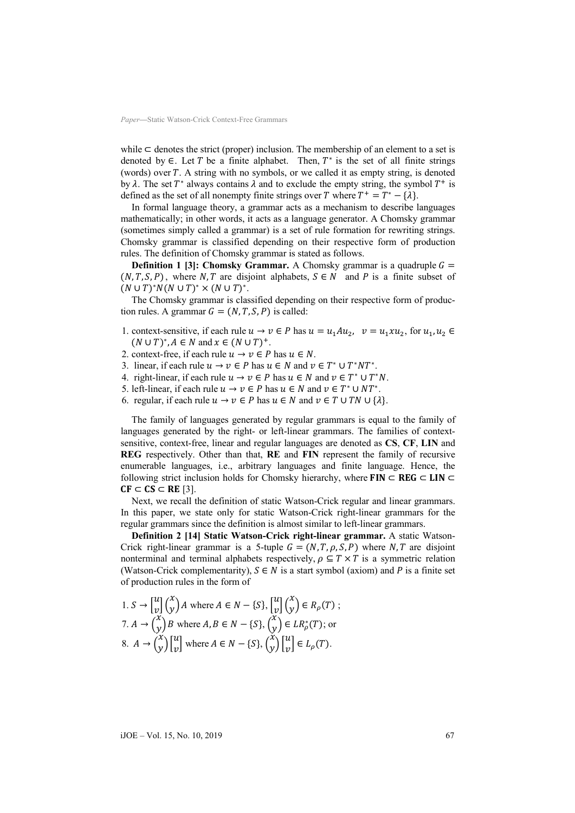while  $\subset$  denotes the strict (proper) inclusion. The membership of an element to a set is denoted by  $\in$ . Let T be a finite alphabet. Then,  $T^*$  is the set of all finite strings (words) over  $T$ . A string with no symbols, or we called it as empty string, is denoted by  $\lambda$ . The set  $T^*$  always contains  $\lambda$  and to exclude the empty string, the symbol  $T^+$  is defined as the set of all nonempty finite strings over T where  $T^+ = T^* - \{\lambda\}.$ 

In formal language theory, a grammar acts as a mechanism to describe languages mathematically; in other words, it acts as a language generator. A Chomsky grammar (sometimes simply called a grammar) is a set of rule formation for rewriting strings. Chomsky grammar is classified depending on their respective form of production rules. The definition of Chomsky grammar is stated as follows.

**Definition 1 [3]: Chomsky Grammar.** A Chomsky grammar is a quadruple  $G =$  $(N, T, S, P)$ , where N, T are disjoint alphabets,  $S \in N$  and P is a finite subset of  $(N \cup T)^*N(N \cup T)^* \times (N \cup T)^*.$ 

The Chomsky grammar is classified depending on their respective form of production rules. A grammar  $G = (N, T, S, P)$  is called:

- 1. context-sensitive, if each rule  $u \to v \in P$  has  $u = u_1 A u_2$ ,  $v = u_1 x u_2$ , for  $u_1, u_2 \in P$  $(N \cup T)^*$ ,  $A \in N$  and  $x \in (N \cup T)^+$ .
- 2. context-free, if each rule  $u \to v \in P$  has  $u \in N$ .
- 3. linear, if each rule  $u \to v \in P$  has  $u \in N$  and  $v \in T^* \cup T^*NT^*$ .
- 4. right-linear, if each rule  $u \to v \in P$  has  $u \in N$  and  $v \in T^* \cup T^*N$ .
- 5. left-linear, if each rule  $u \to v \in P$  has  $u \in N$  and  $v \in T^* \cup NT^*$ .
- 6. regular, if each rule  $u \to v \in P$  has  $u \in N$  and  $v \in T \cup TN \cup \{\lambda\}$ .

The family of languages generated by regular grammars is equal to the family of languages generated by the right- or left-linear grammars. The families of contextsensitive, context-free, linear and regular languages are denoted as **CS**, **CF**, **LIN** and **REG** respectively. Other than that, **RE** and **FIN** represent the family of recursive enumerable languages, i.e., arbitrary languages and finite language. Hence, the following strict inclusion holds for Chomsky hierarchy, where  $FIN \subset REG \subset LIN \subset$  $CF \subset CS \subset RE [3].$ 

Next, we recall the definition of static Watson-Crick regular and linear grammars. In this paper, we state only for static Watson-Crick right-linear grammars for the regular grammars since the definition is almost similar to left-linear grammars.

**Definition 2 [14] Static Watson-Crick right-linear grammar.** A static Watson-Crick right-linear grammar is a 5-tuple  $G = (N, T, \rho, S, P)$  where N, T are disjoint nonterminal and terminal alphabets respectively,  $\rho \subseteq T \times T$  is a symmetric relation (Watson-Crick complementarity),  $S \in N$  is a start symbol (axiom) and P is a finite set of production rules in the form of

1. 
$$
S \rightarrow \begin{bmatrix} u \\ v \end{bmatrix} \begin{pmatrix} x \\ y \end{pmatrix} A
$$
 where  $A \in N - \{S\}, \begin{bmatrix} u \\ v \end{bmatrix} \begin{pmatrix} x \\ y \end{pmatrix} \in R_\rho(T)$ ;  
\n7.  $A \rightarrow \begin{pmatrix} x \\ y \end{pmatrix} B$  where  $A, B \in N - \{S\}, \begin{pmatrix} x \\ y \end{pmatrix} \in LR_\rho^*(T)$ ; or  
\n8.  $A \rightarrow \begin{pmatrix} x \\ y \end{pmatrix} \begin{bmatrix} u \\ v \end{bmatrix}$  where  $A \in N - \{S\}, \begin{pmatrix} x \\ y \end{pmatrix} \begin{bmatrix} u \\ v \end{bmatrix} \in L_\rho(T)$ .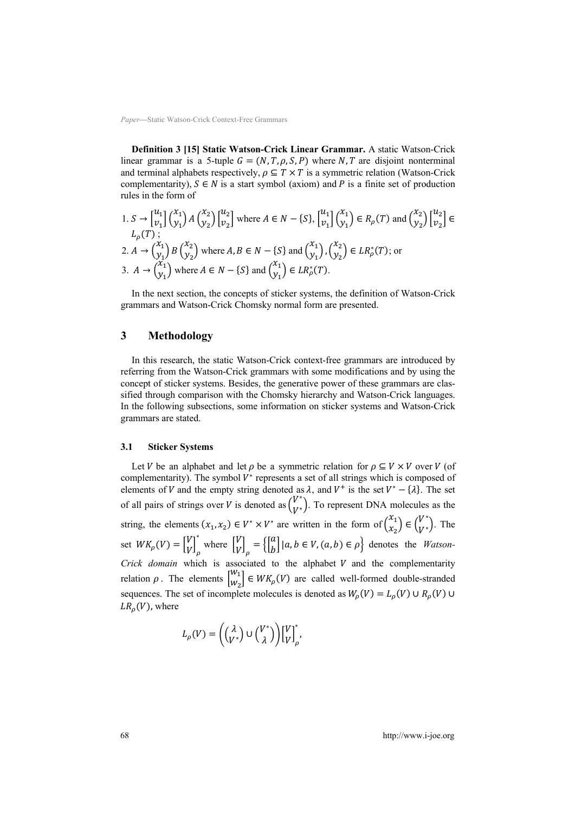**Definition 3 [15] Static Watson-Crick Linear Grammar.** A static Watson-Crick linear grammar is a 5-tuple  $G = (N, T, \rho, S, P)$  where N, T are disjoint nonterminal and terminal alphabets respectively,  $\rho \subseteq T \times T$  is a symmetric relation (Watson-Crick complementarity),  $S \in N$  is a start symbol (axiom) and P is a finite set of production rules in the form of

1. 
$$
S \rightarrow \begin{bmatrix} u_1 \\ v_1 \end{bmatrix} \begin{pmatrix} x_1 \\ y_1 \end{pmatrix} A \begin{pmatrix} x_2 \\ y_2 \end{pmatrix} \begin{bmatrix} u_2 \\ v_2 \end{bmatrix}
$$
 where  $A \in N - \{S\}$ ,  $\begin{bmatrix} u_1 \\ v_1 \end{bmatrix} \begin{pmatrix} x_1 \\ y_1 \end{pmatrix} \in R_\rho(T)$  and  $\begin{pmatrix} x_2 \\ y_2 \end{pmatrix} \begin{bmatrix} u_2 \\ v_2 \end{bmatrix} \in L_\rho(T)$ ;  
\n2.  $A \rightarrow \begin{pmatrix} x_1 \\ y_1 \end{pmatrix} B \begin{pmatrix} x_2 \\ y_2 \end{pmatrix}$  where  $A, B \in N - \{S\}$  and  $\begin{pmatrix} x_1 \\ y_1 \end{pmatrix}, \begin{pmatrix} x_2 \\ y_2 \end{pmatrix} \in LR_\rho^*(T)$ ; or  
\n3.  $A \rightarrow \begin{pmatrix} x_1 \\ y_1 \end{pmatrix}$  where  $A \in N - \{S\}$  and  $\begin{pmatrix} x_1 \\ y_1 \end{pmatrix} \in LR_\rho^*(T)$ .

In the next section, the concepts of sticker systems, the definition of Watson-Crick grammars and Watson-Crick Chomsky normal form are presented.

# **3 Methodology**

In this research, the static Watson-Crick context-free grammars are introduced by referring from the Watson-Crick grammars with some modifications and by using the concept of sticker systems. Besides, the generative power of these grammars are classified through comparison with the Chomsky hierarchy and Watson-Crick languages. In the following subsections, some information on sticker systems and Watson-Crick grammars are stated.

#### **3.1 Sticker Systems**

Let *V* be an alphabet and let  $\rho$  be a symmetric relation for  $\rho \subseteq V \times V$  over *V* (of complementarity). The symbol  $V^*$  represents a set of all strings which is composed of elements of V and the empty string denoted as  $\lambda$ , and  $V^+$  is the set  $V^* - {\lambda}$ . The set of all pairs of strings over *V* is denoted as  $\begin{pmatrix} V^* \\ V^* \end{pmatrix}$ . To represent DNA molecules as the string, the elements  $(x_1, x_2) \in V^* \times V^*$  are written in the form of  $\begin{pmatrix} x_1 \\ x_2 \end{pmatrix}$  $\begin{pmatrix} x_1 \\ x_2 \end{pmatrix} \in \begin{pmatrix} V^* \\ V^* \end{pmatrix}$ . The set  $WK_{\rho}(V) = \begin{bmatrix} V \\ V \end{bmatrix}_{\rho}^*$ where  $\begin{bmatrix} V \\ V \end{bmatrix}_{\rho} = \left\{ \begin{bmatrix} a \\ b \end{bmatrix} | a, b \in V, (a, b) \in \rho \right\}$  denotes the *Watson-Crick domain* which is associated to the alphabet  $V$  and the complementarity relation  $\rho$ . The elements  $\begin{bmatrix}W_1\\W_2\end{bmatrix}$  $\begin{bmatrix} W_1 \\ W_2 \end{bmatrix} \in WK_p(V)$  are called well-formed double-stranded sequences. The set of incomplete molecules is denoted as  $W_{\rho}(V) = L_{\rho}(V) \cup R_{\rho}(V) \cup$  $LR_{\rho}(V)$ , where

$$
L_{\rho}(V) = \left( \begin{pmatrix} \lambda \\ V^* \end{pmatrix} \cup \begin{pmatrix} V^* \\ \lambda \end{pmatrix} \right) \begin{bmatrix} V \\ V \end{bmatrix}_{\rho}^*
$$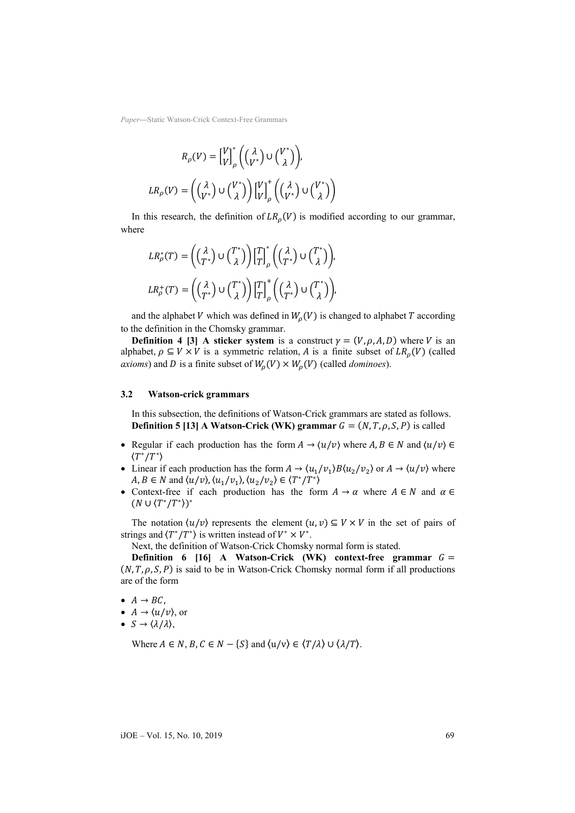$$
R_{\rho}(V) = \begin{bmatrix} V \\ V \end{bmatrix}_{\rho}^{*} \left( \begin{pmatrix} \lambda \\ V^{*} \end{pmatrix} \cup \begin{pmatrix} V^{*} \\ \lambda \end{pmatrix} \right),
$$
  

$$
LR_{\rho}(V) = \left( \begin{pmatrix} \lambda \\ V^{*} \end{pmatrix} \cup \begin{pmatrix} V^{*} \\ \lambda \end{pmatrix} \right) \begin{bmatrix} V \\ V \end{bmatrix}_{\rho}^{*} \left( \begin{pmatrix} \lambda \\ V^{*} \end{pmatrix} \cup \begin{pmatrix} V^{*} \\ \lambda \end{pmatrix} \right)
$$

In this research, the definition of  $LR_o(V)$  is modified according to our grammar, where

$$
LR_{\rho}^{*}(T) = \left( \begin{pmatrix} \lambda \\ T^{*} \end{pmatrix} \cup \begin{pmatrix} T^{*} \\ \lambda \end{pmatrix} \right) \begin{bmatrix} T \\ T \end{bmatrix}_{\rho}^{*} \left( \begin{pmatrix} \lambda \\ T^{*} \end{pmatrix} \cup \begin{pmatrix} T^{*} \\ \lambda \end{pmatrix} \right),
$$
  

$$
LR_{\rho}^{+}(T) = \left( \begin{pmatrix} \lambda \\ T^{*} \end{pmatrix} \cup \begin{pmatrix} T^{*} \\ \lambda \end{pmatrix} \right) \begin{bmatrix} T \\ T \end{bmatrix}_{\rho}^{+} \left( \begin{pmatrix} \lambda \\ T^{*} \end{pmatrix} \cup \begin{pmatrix} T^{*} \\ \lambda \end{pmatrix} \right),
$$

and the alphabet V which was defined in  $W_0(V)$  is changed to alphabet T according to the definition in the Chomsky grammar.

**Definition 4 [3] A sticker system is a construct**  $\gamma = (V, \rho, A, D)$  **where V is an** alphabet,  $\rho \subseteq V \times V$  is a symmetric relation, A is a finite subset of  $LR_{\rho}(V)$  (called *axioms*) and *D* is a finite subset of  $W_o(V) \times W_o(V)$  (called *dominoes*).

#### **3.2 Watson-crick grammars**

In this subsection, the definitions of Watson-Crick grammars are stated as follows. **Definition 5** [13] A Watson-Crick (WK) grammar  $G = (N, T, \rho, S, P)$  is called

- Regular if each production has the form  $A \to \langle u/v \rangle$  where  $A, B \in N$  and  $\langle u/v \rangle \in$  $\langle T^*/T^* \rangle$
- Linear if each production has the form  $A \to \langle u_1/v_1 \rangle B \langle u_2/v_2 \rangle$  or  $A \to \langle u/v \rangle$  where  $A, B \in N$  and  $\langle u/v \rangle, \langle u_1/v_1 \rangle, \langle u_2/v_2 \rangle \in \langle T^*/T^* \rangle$
- Context-free if each production has the form  $A \to \alpha$  where  $A \in N$  and  $\alpha \in \mathbb{R}$  $(N \cup \langle T^*/T^* \rangle)^*$

The notation  $\langle u/v \rangle$  represents the element  $(u, v) \subseteq V \times V$  in the set of pairs of strings and  $\langle T^*/T^* \rangle$  is written instead of  $V^* \times V^*$ .

Next, the definition of Watson-Crick Chomsky normal form is stated.

**Definition 6** [16] A Watson-Crick (WK) context-free grammar  $G =$  $(N, T, \rho, S, P)$  is said to be in Watson-Crick Chomsky normal form if all productions are of the form

- $A \rightarrow BC$ ,
- $A \rightarrow \langle u/v \rangle$ , or
- $S \rightarrow \langle \lambda/\lambda \rangle$ ,

Where  $A \in N$ ,  $B, C \in N - \{S\}$  and  $\langle u/v \rangle \in \langle T/\lambda \rangle \cup \langle \lambda/T \rangle$ .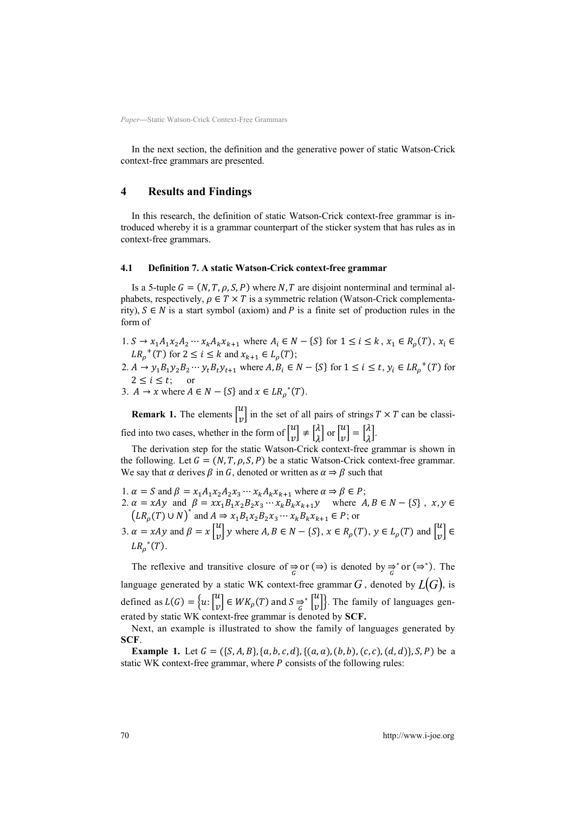In the next section, the definition and the generative power of static Watson-Crick context-free grammars are presented.

### **4 Results and Findings**

In this research, the definition of static Watson-Crick context-free grammar is introduced whereby it is a grammar counterpart of the sticker system that has rules as in context-free grammars.

### **4.1 Definition 7. A static Watson-Crick context-free grammar**

Is a 5-tuple  $G = (N, T, \rho, S, P)$  where N, T are disjoint nonterminal and terminal alphabets, respectively,  $\rho \in T \times T$  is a symmetric relation (Watson-Crick complementarity),  $S \in N$  is a start symbol (axiom) and P is a finite set of production rules in the form of

- 1. *S* →  $x_1A_1x_2A_2 \cdots x_kA_kx_{k+1}$  where  $A_i \in N \{S\}$  for  $1 \le i \le k$ ,  $x_1 \in R_\rho(T)$ ,  $x_i \in$  $LR_{\rho}^{+}(T)$  for  $2 \leq i \leq k$  and  $x_{k+1} \in L_{\rho}(T)$ ;
- 2.  $A \to y_1 B_1 y_2 B_2 \cdots y_t B_t y_{t+1}$  where  $A, B_i \in N \{S\}$  for  $1 \le i \le t, y_i \in LR_p^+(T)$  for  $2 \leq i \leq t$ ; or
- 3.  $A \to x$  where  $A \in N \{S\}$  and  $x \in LR_{\rho}^*(T)$ .

**Remark 1.** The elements  $\begin{bmatrix} u \\ v \end{bmatrix}$  in the set of all pairs of strings  $T \times T$  can be classified into two cases, whether in the form of  $\begin{bmatrix} u \\ v \end{bmatrix} \neq \begin{bmatrix} \lambda \\ \lambda \end{bmatrix}$  $\begin{bmatrix} \lambda \\ \lambda \end{bmatrix}$  or  $\begin{bmatrix} u \\ v \end{bmatrix} = \begin{bmatrix} \lambda \\ \lambda \end{bmatrix}$  $\int_{\lambda}^{\Lambda}$ 

The derivation step for the static Watson-Crick context-free grammar is shown in the following. Let  $G = (N, T, \rho, S, P)$  be a static Watson-Crick context-free grammar. We say that  $\alpha$  derives  $\beta$  in G, denoted or written as  $\alpha \Rightarrow \beta$  such that

- 1.  $\alpha = S$  and  $\beta = x_1 A_1 x_2 A_2 x_3 \cdots x_k A_k x_{k+1}$  where  $\alpha \Rightarrow \beta \in P$ ;
- 2.  $\alpha = xAy$  and  $\beta = xx_1B_1x_2B_2x_3 \cdots x_kB_kx_{k+1}y$  where  $A, B \in N \{S\}$ ,  $x, y \in$  $(LR_p(T) \cup N)^*$  and  $A \Rightarrow x_1B_1x_2B_2x_3 \cdots x_kB_kx_{k+1} \in P$ ; or
- 3.  $\alpha = xAy$  and  $\beta = x\begin{bmatrix} u \\ v \end{bmatrix}y$  where  $A, B \in N \{S\}, x \in R_{\rho}(T), y \in L_{\rho}(T)$  and  $\begin{bmatrix} u \\ v \end{bmatrix} \in$  $LR_{\rho}^*(T).$

The reflexive and transitive closure of  $\Rightarrow$  or ( $\Rightarrow$ ) is denoted by  $\Rightarrow$  or ( $\Rightarrow$ \*). The language generated by a static WK context-free grammar  $G$  , denoted by  $L(G)$ , is defined as  $L(G) = \{u: \begin{bmatrix} u \\ v \end{bmatrix} \in WK_\rho(T)$  and  $S \rightleftharpoons^* \begin{bmatrix} u \\ v \end{bmatrix}$ . The family of languages generated by static WK context-free grammar is denoted by **SCF.** 

Next, an example is illustrated to show the family of languages generated by **SCF**.

**Example 1.** Let  $G = (\{S, A, B\}, \{a, b, c, d\}, \{(a, a), (b, b), (c, c), (d, d)\}, S, P)$  be a static WK context-free grammar, where  $P$  consists of the following rules: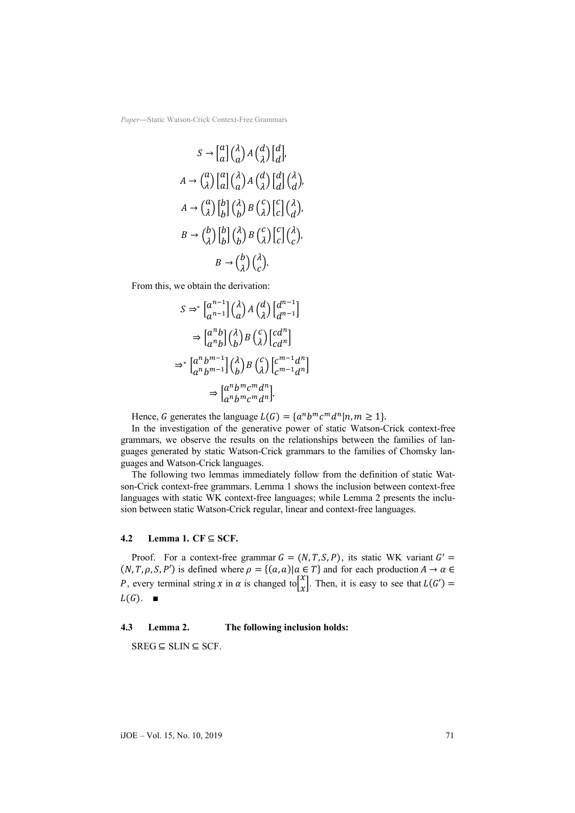$$
S \rightarrow [a] \begin{pmatrix} \lambda \\ a \end{pmatrix} A \begin{pmatrix} d \\ \lambda \end{pmatrix} \begin{pmatrix} d \\ d \end{pmatrix},
$$
  
\n
$$
A \rightarrow \begin{pmatrix} a \\ \lambda \end{pmatrix} \begin{pmatrix} a \\ a \end{pmatrix} \begin{pmatrix} \lambda \\ a \end{pmatrix} A \begin{pmatrix} d \\ \lambda \end{pmatrix} \begin{pmatrix} d \\ d \end{pmatrix},
$$
  
\n
$$
A \rightarrow \begin{pmatrix} a \\ \lambda \end{pmatrix} \begin{pmatrix} b \\ b \end{pmatrix} \begin{pmatrix} \lambda \\ b \end{pmatrix} B \begin{pmatrix} c \\ \lambda \end{pmatrix} \begin{pmatrix} c \\ c \end{pmatrix} \begin{pmatrix} \lambda \\ c \end{pmatrix},
$$
  
\n
$$
B \rightarrow \begin{pmatrix} b \\ \lambda \end{pmatrix} \begin{pmatrix} b \\ b \end{pmatrix} B \begin{pmatrix} \lambda \\ c \end{pmatrix} B \begin{pmatrix} c \\ c \end{pmatrix}.
$$
  
\n
$$
B \rightarrow \begin{pmatrix} b \\ \lambda \end{pmatrix} \begin{pmatrix} \lambda \\ c \end{pmatrix}.
$$

From this, we obtain the derivation:

$$
S \Rightarrow^* \left[ \begin{matrix} a^{n-1} \\ a^{n-1} \end{matrix} \right] \left( \begin{matrix} \lambda \\ a \end{matrix} \right) A \left( \begin{matrix} d \\ \lambda \end{matrix} \right) \left[ \begin{matrix} d^{n-1} \\ d^{n-1} \end{matrix} \right]
$$

$$
\Rightarrow \left[ \begin{matrix} a^n b \\ a^n b \end{matrix} \right] \left( \begin{matrix} \lambda \\ b \end{matrix} \right) B \left( \begin{matrix} c \\ \lambda \end{matrix} \right) \left[ \begin{matrix} c d^n \\ c d^n \end{matrix} \right]
$$

$$
\Rightarrow^* \left[ \begin{matrix} a^n b^{m-1} \\ a^n b^{m-1} \end{matrix} \right] \left( \begin{matrix} \lambda \\ b \end{matrix} \right) B \left( \begin{matrix} c \\ \lambda \end{matrix} \right) \left[ \begin{matrix} c^{m-1} d^n \\ c^{m-1} d^n \end{matrix} \right]
$$

$$
\Rightarrow \left[ \begin{matrix} a^n b^m c^m d^n \\ a^n b^m c^m d^n \end{matrix} \right].
$$

Hence, G generates the language  $L(G) = \{a^n b^m c^m d^n | n, m \ge 1\}.$ 

In the investigation of the generative power of static Watson-Crick context-free grammars, we observe the results on the relationships between the families of languages generated by static Watson-Crick grammars to the families of Chomsky languages and Watson-Crick languages.

The following two lemmas immediately follow from the definition of static Watson-Crick context-free grammars. Lemma 1 shows the inclusion between context-free languages with static WK context-free languages; while Lemma 2 presents the inclusion between static Watson-Crick regular, linear and context-free languages.

### **4.2 Lemma 1.**  $CF \subseteq SCF$ .

Proof. For a context-free grammar  $G = (N, T, S, P)$ , its static WK variant  $G' =$  $(N, T, \rho, S, P')$  is defined where  $\rho = \{(a, a) | a \in T\}$  and for each production  $A \to \alpha \in$ P, every terminal string x in  $\alpha$  is changed to  $\begin{bmatrix} x \\ x \end{bmatrix}$ . Then, it is easy to see that  $L(G') =$  $L(G)$ .  $\blacksquare$ 

### **4.3 Lemma 2. The following inclusion holds:**

 $SREG \subseteq SLIN \subseteq SCF$ .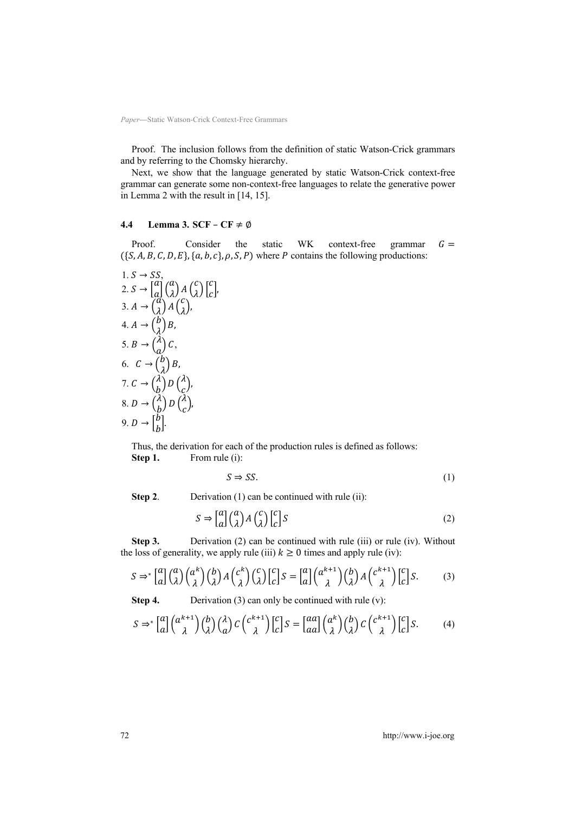Proof. The inclusion follows from the definition of static Watson-Crick grammars and by referring to the Chomsky hierarchy.

Next, we show that the language generated by static Watson-Crick context-free grammar can generate some non-context-free languages to relate the generative power in Lemma 2 with the result in [14, 15].

#### **4.4 Lemma 3. SCF** – **CF**  $\neq \emptyset$

Proof. Consider the static WK context-free grammar  $G =$  $({S, A, B, C, D, E}, {a, b, c}, \rho, S, P)$  where *P* contains the following productions:

1. 
$$
S \rightarrow SS
$$
,  
\n2.  $S \rightarrow [a] \begin{pmatrix} a \\ \lambda \end{pmatrix} A \begin{pmatrix} c \\ \lambda \end{pmatrix} \begin{pmatrix} c \\ c \end{pmatrix}$ ,  
\n3.  $A \rightarrow \begin{pmatrix} a \\ \lambda \end{pmatrix} A \begin{pmatrix} c \\ \lambda \end{pmatrix}$ ,  
\n4.  $A \rightarrow \begin{pmatrix} b \\ \lambda \end{pmatrix} B$ ,  
\n5.  $B \rightarrow \begin{pmatrix} \lambda \\ a \end{pmatrix} C$ ,  
\n6.  $C \rightarrow \begin{pmatrix} b \\ \lambda \end{pmatrix} B$ ,  
\n7.  $C \rightarrow \begin{pmatrix} \lambda \\ b \end{pmatrix} D \begin{pmatrix} \lambda \\ c \end{pmatrix}$ ,  
\n8.  $D \rightarrow \begin{pmatrix} \lambda \\ b \end{pmatrix} D \begin{pmatrix} \lambda \\ c \end{pmatrix}$ ,  
\n9.  $D \rightarrow \begin{bmatrix} b \\ b \end{bmatrix}$ .

Thus, the derivation for each of the production rules is defined as follows: **Step 1.** From rule (i):

$$
S \Rightarrow SS. \tag{1}
$$

**Step 2.** Derivation (1) can be continued with rule (ii):

$$
S \Rightarrow \begin{bmatrix} a \\ a \end{bmatrix} \begin{pmatrix} a \\ \lambda \end{pmatrix} A \begin{pmatrix} c \\ \lambda \end{pmatrix} \begin{bmatrix} c \\ c \end{bmatrix} S \tag{2}
$$

**Step 3.** Derivation (2) can be continued with rule (iii) or rule (iv). Without the loss of generality, we apply rule (iii)  $k \ge 0$  times and apply rule (iv):

$$
S \Rightarrow^* \left[ \begin{matrix} a \\ a \end{matrix} \right] \left( \begin{matrix} a \\ \lambda \end{matrix} \right) \left( \begin{matrix} a^k \\ \lambda \end{matrix} \right) \left( \begin{matrix} b \\ \lambda \end{matrix} \right) A \left( \begin{matrix} c^k \\ \lambda \end{matrix} \right) \left( \begin{matrix} c \\ \lambda \end{matrix} \right) \left[ \begin{matrix} c \\ c \end{matrix} \right] S = \left[ \begin{matrix} a \\ a \end{matrix} \right] \left( \begin{matrix} a^{k+1} \\ \lambda \end{matrix} \right) \left( \begin{matrix} b \\ \lambda \end{matrix} \right) A \left( \begin{matrix} c^{k+1} \\ \lambda \end{matrix} \right) \left[ \begin{matrix} c \\ c \end{matrix} \right] S. \tag{3}
$$

**Step 4.** Derivation (3) can only be continued with rule (v):

$$
S \Rightarrow^* \left[ \begin{matrix} a \\ a \end{matrix} \right] \left( \begin{matrix} \alpha^{k+1} \\ \lambda \end{matrix} \right) \left( \begin{matrix} b \\ \lambda \end{matrix} \right) \left( \begin{matrix} \lambda \\ a \end{matrix} \right) C \left( \begin{matrix} c^{k+1} \\ \lambda \end{matrix} \right) \left[ \begin{matrix} c \\ c \end{matrix} \right] S = \left[ \begin{matrix} aa \\ aa \end{matrix} \right] \left( \begin{matrix} \alpha^k \\ \lambda \end{matrix} \right) \left( \begin{matrix} b \\ \lambda \end{matrix} \right) C \left( \begin{matrix} c^{k+1} \\ \lambda \end{matrix} \right) \left[ \begin{matrix} c \\ c \end{matrix} \right] S. \tag{4}
$$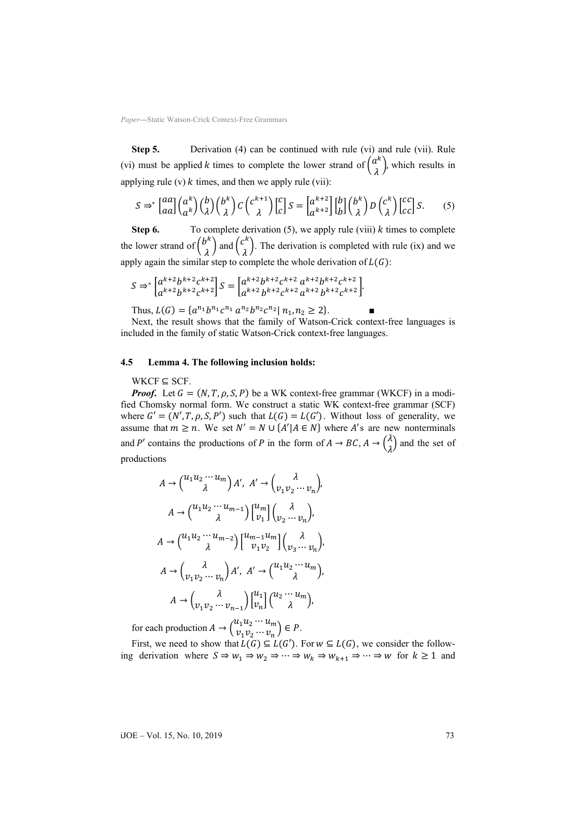**Step 5.** Derivation (4) can be continued with rule (vi) and rule (vii). Rule (vi) must be applied *k* times to complete the lower strand of  $\binom{a^k}{\lambda}$ , which results in applying rule (v)  $k$  times, and then we apply rule (vii):

$$
S \Rightarrow^* \left[ \begin{matrix} aa \\ aa \end{matrix} \right] \left( \begin{matrix} a^k \\ a^k \end{matrix} \right) \left( \begin{matrix} b \\ \lambda \end{matrix} \right) \left( \begin{matrix} b^k \\ \lambda \end{matrix} \right) C \left( \begin{matrix} c^{k+1} \\ \lambda \end{matrix} \right) \left[ \begin{matrix} c \\ c \end{matrix} \right] S = \left[ \begin{matrix} a^{k+2} \\ a^{k+2} \end{matrix} \right] \left[ \begin{matrix} b \\ b \end{matrix} \right] \left( \begin{matrix} b^k \\ \lambda \end{matrix} \right) D \left( \begin{matrix} c^k \\ \lambda \end{matrix} \right) \left[ \begin{matrix} cc \\ cc \end{matrix} \right] S. \tag{5}
$$

**Step 6.** To complete derivation  $(5)$ , we apply rule (viii)  $k$  times to complete the lower strand of  $\binom{b^k}{\lambda}$  and  $\binom{c^k}{\lambda}$ . The derivation is completed with rule (ix) and we apply again the similar step to complete the whole derivation of  $L(G)$ :

$$
S \Rightarrow^* \left[ \begin{matrix} a^{k+2} b^{k+2} c^{k+2} \\ a^{k+2} b^{k+2} c^{k+2} \end{matrix} \right] S = \left[ \begin{matrix} a^{k+2} b^{k+2} c^{k+2} \ a^{k+2} b^{k+2} c^{k+2} \\ a^{k+2} b^{k+2} c^{k+2} \ a^{k+2} b^{k+2} c^{k+2} \end{matrix} \right].
$$

Thus,  $L(G) = \{a^{n_1}b^{n_1}c^{n_1} a^{n_2}b^{n_2}c^{n_2} | n_1, n_2 \ge 2\}.$ 

Next, the result shows that the family of Watson-Crick context-free languages is included in the family of static Watson-Crick context-free languages.

#### **4.5 Lemma 4. The following inclusion holds:**

 $WKCF \subseteq SCF$ .

*Proof.* Let  $G = (N, T, \rho, S, P)$  be a WK context-free grammar (WKCF) in a modified Chomsky normal form. We construct a static WK context-free grammar (SCF) where  $G' = (N', T, \rho, S, P')$  such that  $L(G) = L(G')$ . Without loss of generality, we assume that  $m \ge n$ . We set  $N' = N \cup \{A' | A \in N\}$  where A's are new nonterminals and P' contains the productions of P in the form of  $A \to BC$ ,  $A \to \begin{pmatrix} \lambda & 1 \\ 1 & \lambda \end{pmatrix}$  $\binom{n}{\lambda}$  and the set of productions

$$
A \rightarrow {\begin{pmatrix} u_1 u_2 \cdots u_m \\ \lambda \end{pmatrix}} A', A' \rightarrow {\begin{pmatrix} \lambda \\ v_1 v_2 \cdots v_n \end{pmatrix}},
$$
  
\n
$$
A \rightarrow {\begin{pmatrix} u_1 u_2 \cdots u_{m-1} \\ \lambda \end{pmatrix}} {\begin{pmatrix} u_m \\ v_1 \end{pmatrix}} {\begin{pmatrix} \lambda \\ v_2 \cdots v_n \end{pmatrix}},
$$
  
\n
$$
A \rightarrow {\begin{pmatrix} u_1 u_2 \cdots u_{m-2} \\ \lambda \end{pmatrix}} {\begin{pmatrix} u_{m-1} u_m \\ v_1 v_2 \end{pmatrix}} {\begin{pmatrix} \lambda \\ v_3 \cdots v_n \end{pmatrix}},
$$
  
\n
$$
A \rightarrow {\begin{pmatrix} \lambda \\ v_1 v_2 \cdots v_n \end{pmatrix}} A', A' \rightarrow {\begin{pmatrix} u_1 u_2 \cdots u_m \\ \lambda \end{pmatrix}},
$$
  
\n
$$
A \rightarrow {\begin{pmatrix} \lambda \\ v_1 v_2 \cdots v_{n-1} \end{pmatrix}} {\begin{pmatrix} u_1 \\ v_n \end{pmatrix}} {\begin{pmatrix} u_2 \cdots u_m \\ \lambda \end{pmatrix}},
$$

for each production  $A \to {u_1 u_2 \cdots u_m \choose v_1 v_2 \cdots v_n} \in P$ .

First, we need to show that  $L(G) \subseteq L(G')$ . For  $w \subseteq L(G)$ , we consider the following derivation where  $S \Rightarrow w_1 \Rightarrow w_2 \Rightarrow \cdots \Rightarrow w_k \Rightarrow w_{k+1} \Rightarrow \cdots \Rightarrow w$  for  $k \ge 1$  and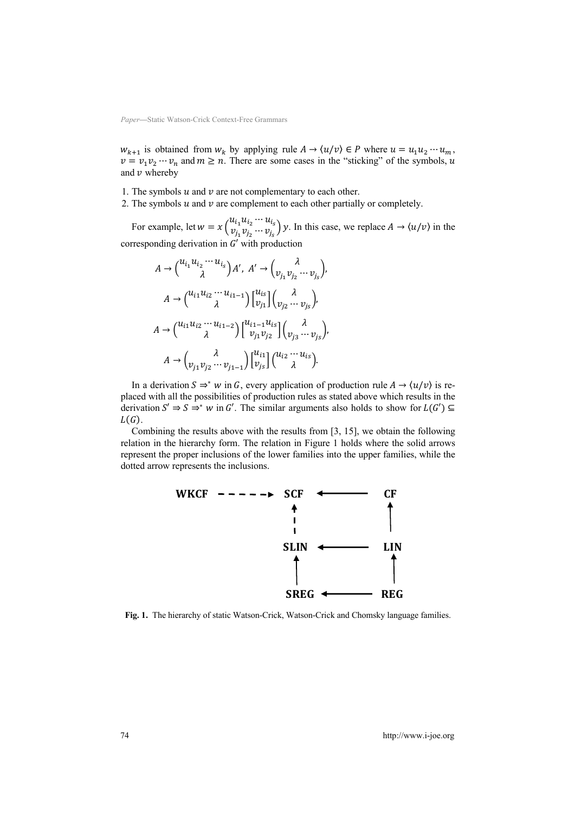$w_{k+1}$  is obtained from  $w_k$  by applying rule  $A \to \langle u/v \rangle \in P$  where  $u = u_1 u_2 \cdots u_m$ ,  $v = v_1 v_2 \cdots v_n$  and  $m \ge n$ . There are some cases in the "sticking" of the symbols, u and  $\nu$  whereby

- 1. The symbols  $u$  and  $v$  are not complementary to each other.
- 2. The symbols  $u$  and  $v$  are complement to each other partially or completely.

For example, let  $w = x \begin{pmatrix} u_{i_1} u_{i_2} \cdots u_{i_s} \\ v_{i_1} v_{i_2} \cdots v_{i_s} \end{pmatrix}$  $v_{i_1}^{u_1} v_{i_2}^{u_2} \cdots v_{i_s}^{u_s}$   $y$ . In this case, we replace  $A \rightarrow \langle u/v \rangle$  in the corresponding derivation in  $G'$  with production

$$
A \rightarrow {\begin{pmatrix} u_{i_1}u_{i_2}\cdots u_{i_s} \\ \lambda \end{pmatrix}} A', A' \rightarrow {\begin{pmatrix} \lambda \\ v_{j_1}v_{j_2}\cdots v_{j_s} \end{pmatrix}},
$$

$$
A \rightarrow {\begin{pmatrix} u_{i1}u_{i2}\cdots u_{i1-1} \\ \lambda \end{pmatrix}} {\begin{pmatrix} u_{i3} \\ v_{j1} \end{pmatrix}} {\begin{pmatrix} \lambda \\ v_{j2}\cdots v_{j_s} \end{pmatrix}},
$$

$$
A \rightarrow {\begin{pmatrix} u_{i1}u_{i2}\cdots u_{i1-2} \\ \lambda \end{pmatrix}} {\begin{pmatrix} u_{i1-1}u_{i s} \\ v_{j1}v_{j2} \end{pmatrix}} {\begin{pmatrix} \lambda \\ v_{j3}\cdots v_{j_s} \end{pmatrix}},
$$

$$
A \rightarrow {\begin{pmatrix} \lambda \\ v_{j1}v_{j2}\cdots v_{j1-1} \end{pmatrix}} {\begin{pmatrix} u_{i1} \\ v_{js} \end{pmatrix}} {\begin{pmatrix} u_{i2}\cdots u_{is} \\ \lambda \end{pmatrix}}.
$$

In a derivation  $S \Rightarrow^* w$  in G, every application of production rule  $A \rightarrow \langle u/v \rangle$  is replaced with all the possibilities of production rules as stated above which results in the derivation  $S' \Rightarrow S \Rightarrow^* w$  in G'. The similar arguments also holds to show for  $L(G') \subseteq$  $L(G)$ .

Combining the results above with the results from [3, 15], we obtain the following relation in the hierarchy form. The relation in Figure 1 holds where the solid arrows represent the proper inclusions of the lower families into the upper families, while the dotted arrow represents the inclusions.



**Fig. 1.** The hierarchy of static Watson-Crick, Watson-Crick and Chomsky language families.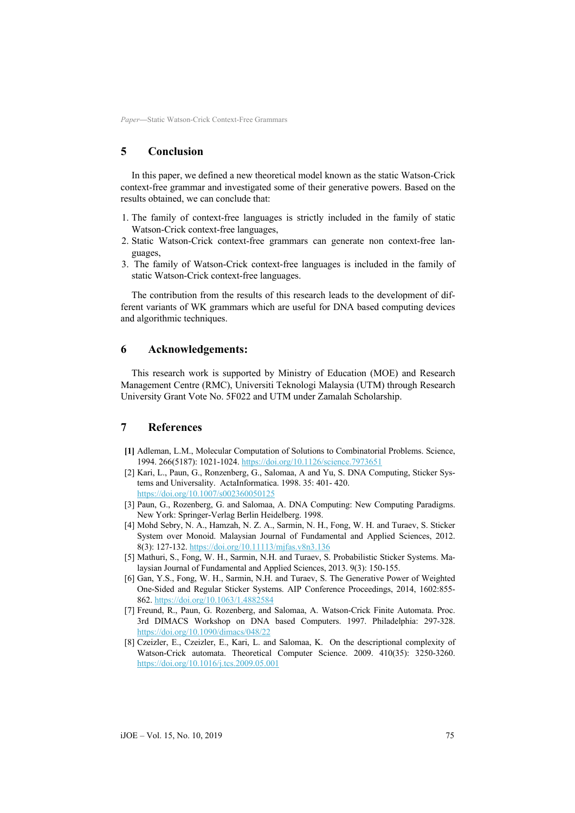# **5 Conclusion**

In this paper, we defined a new theoretical model known as the static Watson-Crick context-free grammar and investigated some of their generative powers. Based on the results obtained, we can conclude that:

- 1. The family of context-free languages is strictly included in the family of static Watson-Crick context-free languages,
- 2. Static Watson-Crick context-free grammars can generate non context-free languages,
- 3. The family of Watson-Crick context-free languages is included in the family of static Watson-Crick context-free languages.

The contribution from the results of this research leads to the development of different variants of WK grammars which are useful for DNA based computing devices and algorithmic techniques.

### **6 Acknowledgements:**

This research work is supported by Ministry of Education (MOE) and Research Management Centre (RMC), Universiti Teknologi Malaysia (UTM) through Research University Grant Vote No. 5F022 and UTM under Zamalah Scholarship.

# **7 References**

- **[1]** Adleman, L.M., Molecular Computation of Solutions to Combinatorial Problems. Science, 1994. 266(5187): 1021-1024. https://doi.org/10.1126/science.7973651
- [2] [Kari, L., Paun, G., Ronzenberg, G., Sa](https://doi.org/10.1126/science.7973651)lomaa, A and Yu, S. DNA Computing, Sticker Systems and Universality. ActaInformatica. 1998. 35: 401- 420. https://doi.org/10.1007/s002360050125
- [3] [Paun, G., Rozenberg, G. and Salomaa,](https://doi.org/10.1007/s002360050125) A. DNA Computing: New Computing Paradigms. New York: Springer-Verlag Berlin Heidelberg. 1998.
- [4] Mohd Sebry, N. A., Hamzah, N. Z. A., Sarmin, N. H., Fong, W. H. and Turaev, S. Sticker System over Monoid. Malaysian Journal of Fundamental and Applied Sciences, 2012. 8(3): 127-132. https://doi.org/10.11113/mjfas.v8n3.136
- [5] [Mathuri, S., Fong, W. H., Sarmin, N.H.](https://doi.org/10.11113/mjfas.v8n3.136) and Turaev, S. Probabilistic Sticker Systems. Malaysian Journal of Fundamental and Applied Sciences, 2013. 9(3): 150-155.
- [6] Gan, Y.S., Fong, W. H., Sarmin, N.H. and Turaev, S. The Generative Power of Weighted One-Sided and Regular Sticker Systems. AIP Conference Proceedings, 2014, 1602:855- 862. https://doi.org/10.1063/1.4882584
- [7] [Freund, R., Paun, G. Rozenberg,](https://doi.org/10.1063/1.4882584) and Salomaa, A. Watson-Crick Finite Automata. Proc. 3rd DIMACS Workshop on DNA based Computers. 1997. Philadelphia: 297-328. https://doi.org/10.1090/dimacs/048/22
- [8] [Czeizler, E., Czeizler, E., Kari, L.](https://doi.org/10.1090/dimacs/048/22) and Salomaa, K. On the descriptional complexity of Watson-Crick automata. Theoretical Computer Science. 2009. 410(35): 3250-3260. https://doi.org/10.1016/j.tcs.2009.05.001